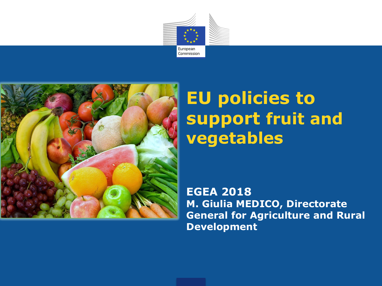



## **EU policies to support fruit and vegetables**

**EGEA 2018 M. Giulia MEDICO, Directorate General for Agriculture and Rural Development**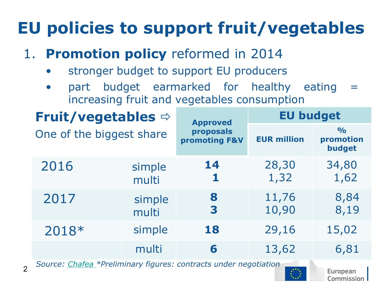# **EU policies to support fruit/vegetables**

#### 1. **Promotion policy** reformed in 2014

- stronger budget to support EU producers
- part budget earmarked for healthy eating increasing fruit and vegetables consumption

| <b>Fruit/vegetables →</b>                                        |                 | <b>Approved</b><br>proposals<br>promoting F&V | <b>EU budget</b>   |                                      |  |  |
|------------------------------------------------------------------|-----------------|-----------------------------------------------|--------------------|--------------------------------------|--|--|
| One of the biggest share                                         |                 |                                               | <b>EUR million</b> | $\frac{1}{2}$<br>promotion<br>budget |  |  |
| 2016                                                             | simple<br>multi | 14<br>1                                       | 28,30<br>1,32      | 34,80<br>1,62                        |  |  |
| 2017                                                             | simple<br>multi | 8<br>3                                        | 11,76<br>10,90     | 8,84<br>8,19                         |  |  |
| 2018*                                                            | simple          | 18                                            | 29,16              | 15,02                                |  |  |
|                                                                  | multi           | 6                                             | 13,62              | 6,81                                 |  |  |
| Source: Chafea *Preliminary figures: contracts under negotiation |                 |                                               |                    |                                      |  |  |

 *Source: [Chafea](https://ec.europa.eu/chafea/agri/funding-opportunities/simple-and-multi-programmes) \*Preliminary figures: contracts under negotiation*

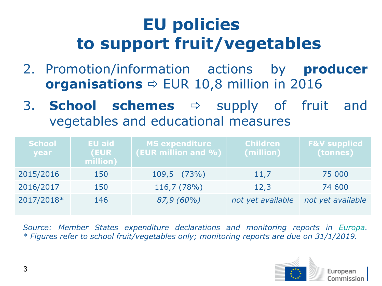## **EU policies to support fruit/vegetables**

- 2. Promotion/information actions by **producer organisations**  $\Rightarrow$  EUR 10,8 million in 2016
- 3. **School schemes**  $\Rightarrow$  supply of fruit and vegetables and educational measures

| <b>School</b><br>year | <b>EU aid</b><br><b>(EUR)</b><br>million) | <b>MS expenditure</b><br>(EUR million and %) | <b>Children</b><br>(million) | <b>F&amp;V supplied</b><br>(tonnes) |
|-----------------------|-------------------------------------------|----------------------------------------------|------------------------------|-------------------------------------|
| 2015/2016             | 150                                       | $109,5$ $(73\%)$                             | 11,7                         | 75 000                              |
| 2016/2017             | 150                                       | 116,7 (78%)                                  | 12,3                         | 74 600                              |
| 2017/2018*            | 146                                       | 87,9 (60%)                                   | not yet available            | not yet available                   |

*Source: Member States expenditure declarations and monitoring reports in [Europa.](https://ec.europa.eu/agriculture/sfs_en) \* Figures refer to school fruit/vegetables only; monitoring reports are due on 31/1/2019.*

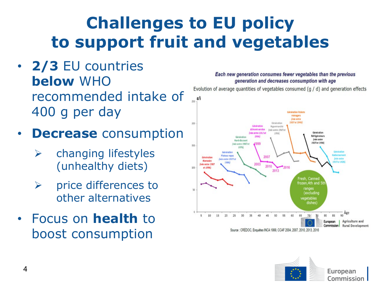## **Challenges to EU policy to support fruit and vegetables**

- **2/3** EU countries **below** WHO recommended intake of 400 g per day
- **Decrease** consumption
	- $\triangleright$  changing lifestyles (unhealthy diets)
	- $\triangleright$  price differences to other alternatives
- Focus on **health** to boost consumption

#### Each new generation consumes fewer vegetables than the previous generation and decreases consumption with age

Evolution of average quantities of vegetables consumed (g / d) and generation effects